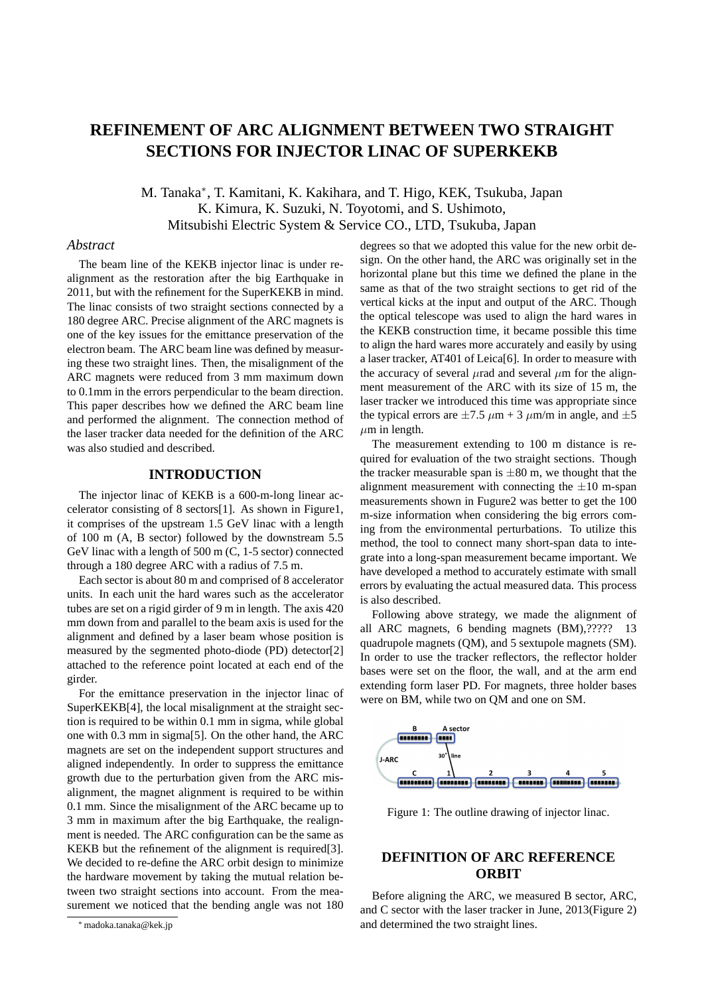# **REFINEMENT OF ARC ALIGNMENT BETWEEN TWO STRAIGHT SECTIONS FOR INJECTOR LINAC OF SUPERKEKB**

M. Tanaka*<sup>∗</sup>* , T. Kamitani, K. Kakihara, and T. Higo, KEK, Tsukuba, Japan K. Kimura, K. Suzuki, N. Toyotomi, and S. Ushimoto, Mitsubishi Electric System & Service CO., LTD, Tsukuba, Japan

### *Abstract*

The beam line of the KEKB injector linac is under realignment as the restoration after the big Earthquake in 2011, but with the refinement for the SuperKEKB in mind. The linac consists of two straight sections connected by a 180 degree ARC. Precise alignment of the ARC magnets is one of the key issues for the emittance preservation of the electron beam. The ARC beam line was defined by measuring these two straight lines. Then, the misalignment of the ARC magnets were reduced from 3 mm maximum down to 0.1mm in the errors perpendicular to the beam direction. This paper describes how we defined the ARC beam line and performed the alignment. The connection method of the laser tracker data needed for the definition of the ARC was also studied and described.

# **INTRODUCTION**

The injector linac of KEKB is a 600-m-long linear accelerator consisting of 8 sectors[1]. As shown in Figure1, it comprises of the upstream 1.5 GeV linac with a length of 100 m (A, B sector) followed by the downstream 5.5 GeV linac with a length of 500 m (C, 1-5 sector) connected through a 180 degree ARC with a radius of 7.5 m.

Each sector is about 80 m and comprised of 8 accelerator units. In each unit the hard wares such as the accelerator tubes are set on a rigid girder of 9 m in length. The axis 420 mm down from and parallel to the beam axis is used for the alignment and defined by a laser beam whose position is measured by the segmented photo-diode (PD) detector[2] attached to the reference point located at each end of the girder.

For the emittance preservation in the injector linac of SuperKEKB[4], the local misalignment at the straight section is required to be within 0.1 mm in sigma, while global one with 0.3 mm in sigma[5]. On the other hand, the ARC magnets are set on the independent support structures and aligned independently. In order to suppress the emittance growth due to the perturbation given from the ARC misalignment, the magnet alignment is required to be within 0.1 mm. Since the misalignment of the ARC became up to 3 mm in maximum after the big Earthquake, the realignment is needed. The ARC configuration can be the same as KEKB but the refinement of the alignment is required[3]. We decided to re-define the ARC orbit design to minimize the hardware movement by taking the mutual relation between two straight sections into account. From the measurement we noticed that the bending angle was not 180 degrees so that we adopted this value for the new orbit design. On the other hand, the ARC was originally set in the horizontal plane but this time we defined the plane in the same as that of the two straight sections to get rid of the vertical kicks at the input and output of the ARC. Though the optical telescope was used to align the hard wares in the KEKB construction time, it became possible this time to align the hard wares more accurately and easily by using a laser tracker, AT401 of Leica[6]. In order to measure with the accuracy of several  $\mu$ rad and several  $\mu$ m for the alignment measurement of the ARC with its size of 15 m, the laser tracker we introduced this time was appropriate since the typical errors are  $\pm 7.5 \ \mu m + 3 \ \mu m/m$  in angle, and  $\pm 5$  $\mu$ m in length.

The measurement extending to 100 m distance is required for evaluation of the two straight sections. Though the tracker measurable span is  $\pm 80$  m, we thought that the alignment measurement with connecting the *±*10 m-span measurements shown in Fugure2 was better to get the 100 m-size information when considering the big errors coming from the environmental perturbations. To utilize this method, the tool to connect many short-span data to integrate into a long-span measurement became important. We have developed a method to accurately estimate with small errors by evaluating the actual measured data. This process is also described.

Following above strategy, we made the alignment of all ARC magnets, 6 bending magnets (BM),????? 13 quadrupole magnets (QM), and 5 sextupole magnets (SM). In order to use the tracker reflectors, the reflector holder bases were set on the floor, the wall, and at the arm end extending form laser PD. For magnets, three holder bases were on BM, while two on QM and one on SM.



Figure 1: The outline drawing of injector linac.

# **DEFINITION OF ARC REFERENCE ORBIT**

Before aligning the ARC, we measured B sector, ARC, and C sector with the laser tracker in June, 2013(Figure 2) and determined the two straight lines.

*<sup>∗</sup>*madoka.tanaka@kek.jp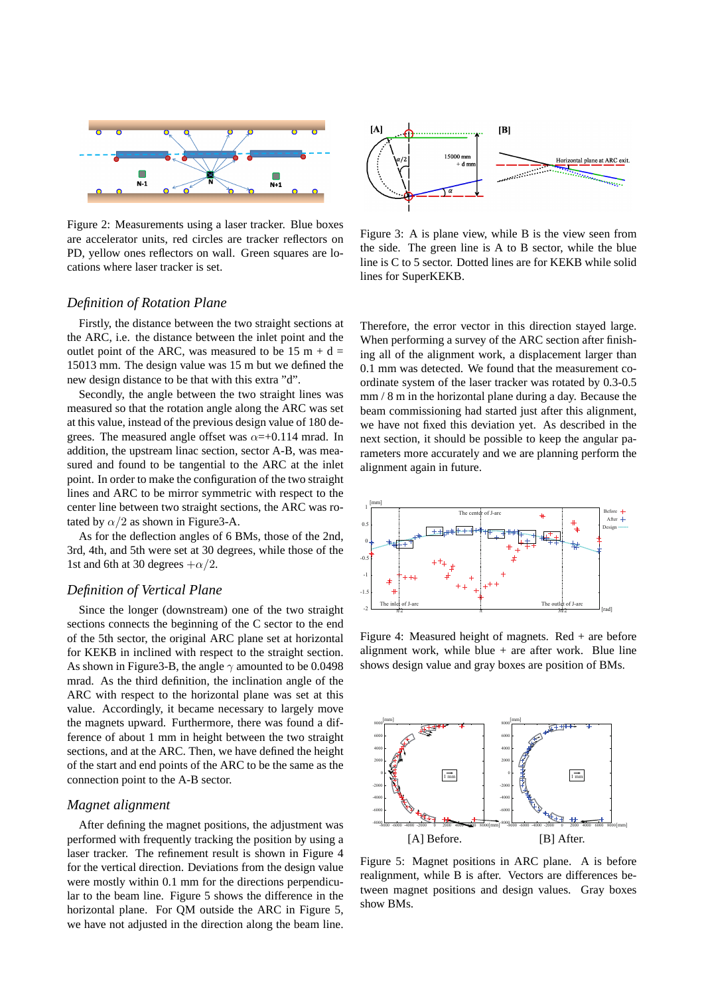

Figure 2: Measurements using a laser tracker. Blue boxes are accelerator units, red circles are tracker reflectors on PD, yellow ones reflectors on wall. Green squares are locations where laser tracker is set.

# *Definition of Rotation Plane*

Firstly, the distance between the two straight sections at the ARC, i.e. the distance between the inlet point and the outlet point of the ARC, was measured to be 15 m +  $d =$ 15013 mm. The design value was 15 m but we defined the new design distance to be that with this extra "d".

Secondly, the angle between the two straight lines was measured so that the rotation angle along the ARC was set at this value, instead of the previous design value of 180 degrees. The measured angle offset was  $\alpha = +0.114$  mrad. In addition, the upstream linac section, sector A-B, was measured and found to be tangential to the ARC at the inlet point. In order to make the configuration of the two straight lines and ARC to be mirror symmetric with respect to the center line between two straight sections, the ARC was rotated by  $\alpha/2$  as shown in Figure 3-A.

As for the deflection angles of 6 BMs, those of the 2nd, 3rd, 4th, and 5th were set at 30 degrees, while those of the 1st and 6th at 30 degrees  $+\alpha/2$ .

### *Definition of Vertical Plane*

Since the longer (downstream) one of the two straight sections connects the beginning of the C sector to the end of the 5th sector, the original ARC plane set at horizontal for KEKB in inclined with respect to the straight section. As shown in Figure3-B, the angle *γ* amounted to be 0.0498 mrad. As the third definition, the inclination angle of the ARC with respect to the horizontal plane was set at this value. Accordingly, it became necessary to largely move the magnets upward. Furthermore, there was found a difference of about 1 mm in height between the two straight sections, and at the ARC. Then, we have defined the height of the start and end points of the ARC to be the same as the connection point to the A-B sector.

### *Magnet alignment*

After defining the magnet positions, the adjustment was performed with frequently tracking the position by using a laser tracker. The refinement result is shown in Figure 4 for the vertical direction. Deviations from the design value were mostly within 0.1 mm for the directions perpendicular to the beam line. Figure 5 shows the difference in the horizontal plane. For QM outside the ARC in Figure 5, we have not adjusted in the direction along the beam line.



Figure 3: A is plane view, while B is the view seen from the side. The green line is A to B sector, while the blue line is C to 5 sector. Dotted lines are for KEKB while solid lines for SuperKEKB.

Therefore, the error vector in this direction stayed large. When performing a survey of the ARC section after finishing all of the alignment work, a displacement larger than 0.1 mm was detected. We found that the measurement coordinate system of the laser tracker was rotated by 0.3-0.5 mm / 8 m in the horizontal plane during a day. Because the beam commissioning had started just after this alignment, we have not fixed this deviation yet. As described in the next section, it should be possible to keep the angular parameters more accurately and we are planning perform the alignment again in future.



Figure 4: Measured height of magnets. Red + are before alignment work, while blue + are after work. Blue line shows design value and gray boxes are position of BMs.



Figure 5: Magnet positions in ARC plane. A is before realignment, while B is after. Vectors are differences between magnet positions and design values. Gray boxes show BMs.